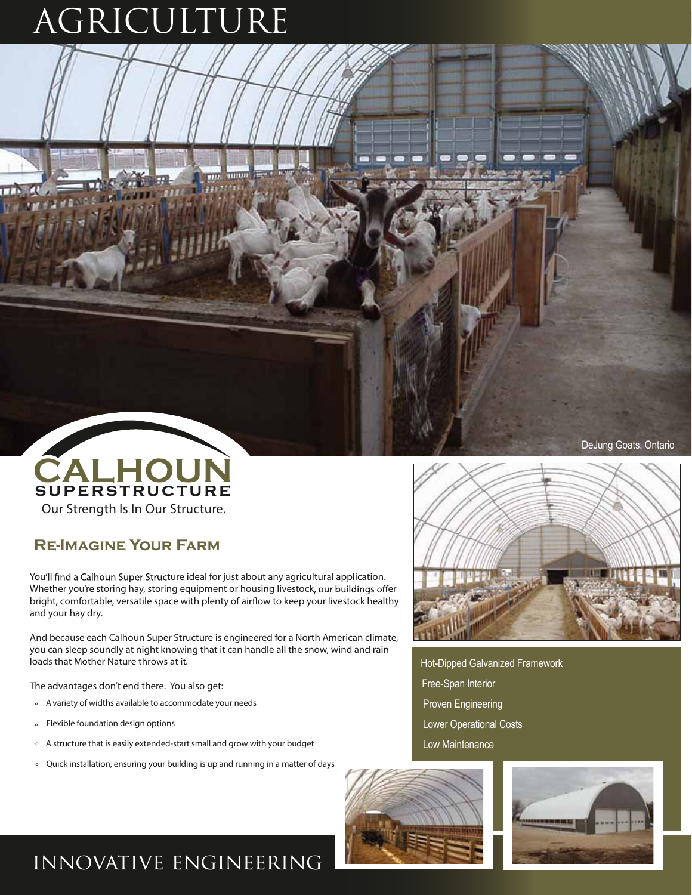## AGRICULTURE



#### **Re-Imagine Your Farm**

You'll find a Calhoun Super Structure ideal for just about any agricultural application. Whether you're storing hay, storing equipment or housing livestock, our buildings offer bright, comfortable, versatile space with plenty of airflow to keep your livestock healthy and your hay dry.

And because each Calhoun Super Structure is engineered for a North American climate, you can sleep soundly at night knowing that it can handle all the snow, wind and rain loads that Mother Nature throws at it.

The advantages don't end there. You also get:

- ° Avariety of widths available to accommodate your needs
- ° Flexible foundation design options
- ° A structure that is easily extended-startsmall and grow with your budget
- ° Quick installation, ensuring your building is up and running in a matter of days



DeJung Goats, Ontario

Hot-Dipped Galvanized Framework Free-Span Interior Proven Engineering Lower Operational Costs Low Maintenance





### innovative engineering